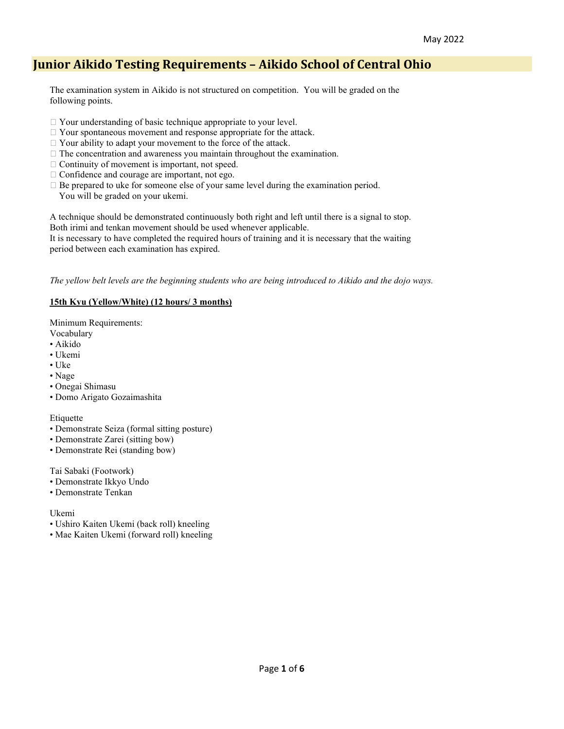# **Junior Aikido Testing Requirements – Aikido School of Central Ohio**

The examination system in Aikido is not structured on competition. You will be graded on the following points.

- □ Your understanding of basic technique appropriate to your level.
- Your spontaneous movement and response appropriate for the attack.
- $\Box$  Your ability to adapt your movement to the force of the attack.
- $\Box$  The concentration and awareness you maintain throughout the examination.
- $\Box$  Continuity of movement is important, not speed.
- $\Box$  Confidence and courage are important, not ego.
- $\Box$  Be prepared to uke for someone else of your same level during the examination period. You will be graded on your ukemi.

A technique should be demonstrated continuously both right and left until there is a signal to stop. Both irimi and tenkan movement should be used whenever applicable.

It is necessary to have completed the required hours of training and it is necessary that the waiting period between each examination has expired.

*The yellow belt levels are the beginning students who are being introduced to Aikido and the dojo ways.* 

#### **15th Kyu (Yellow/White) (12 hours/ 3 months)**

Minimum Requirements:

- Vocabulary
- Aikido
- Ukemi
- Uke
- Nage
- Onegai Shimasu
- Domo Arigato Gozaimashita

#### Etiquette

- Demonstrate Seiza (formal sitting posture)
- Demonstrate Zarei (sitting bow)
- Demonstrate Rei (standing bow)

Tai Sabaki (Footwork)

- Demonstrate Ikkyo Undo
- Demonstrate Tenkan

#### Ukemi

- Ushiro Kaiten Ukemi (back roll) kneeling
- Mae Kaiten Ukemi (forward roll) kneeling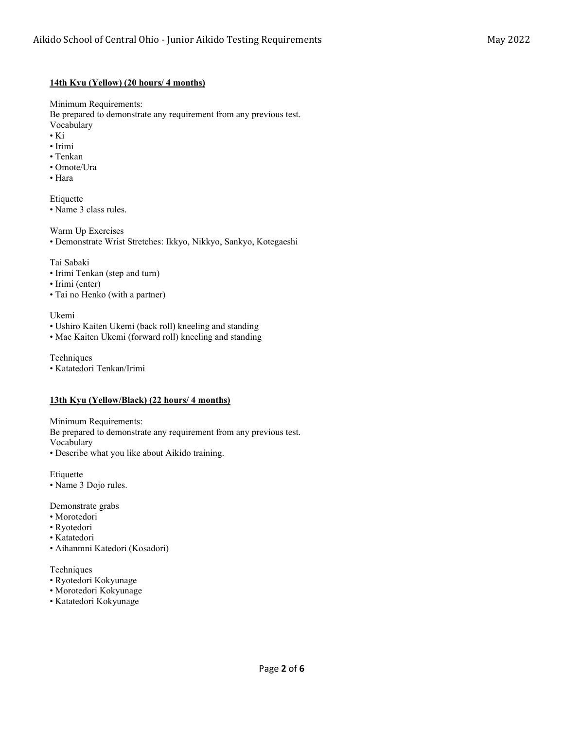### **14th Kyu (Yellow) (20 hours/ 4 months)**

Minimum Requirements:

Be prepared to demonstrate any requirement from any previous test. Vocabulary

- Ki
- Irimi
- Tenkan
- Omote/Ura
- Hara

Etiquette • Name 3 class rules.

Warm Up Exercises

• Demonstrate Wrist Stretches: Ikkyo, Nikkyo, Sankyo, Kotegaeshi

Tai Sabaki

- Irimi Tenkan (step and turn)
- Irimi (enter)
- Tai no Henko (with a partner)

Ukemi

- Ushiro Kaiten Ukemi (back roll) kneeling and standing
- Mae Kaiten Ukemi (forward roll) kneeling and standing

Techniques

• Katatedori Tenkan/Irimi

#### **13th Kyu (Yellow/Black) (22 hours/ 4 months)**

Minimum Requirements:

Be prepared to demonstrate any requirement from any previous test. Vocabulary

• Describe what you like about Aikido training.

Etiquette

• Name 3 Dojo rules.

Demonstrate grabs

- Morotedori
- Ryotedori
- Katatedori
- Aihanmni Katedori (Kosadori)

Techniques

- Ryotedori Kokyunage
- Morotedori Kokyunage
- Katatedori Kokyunage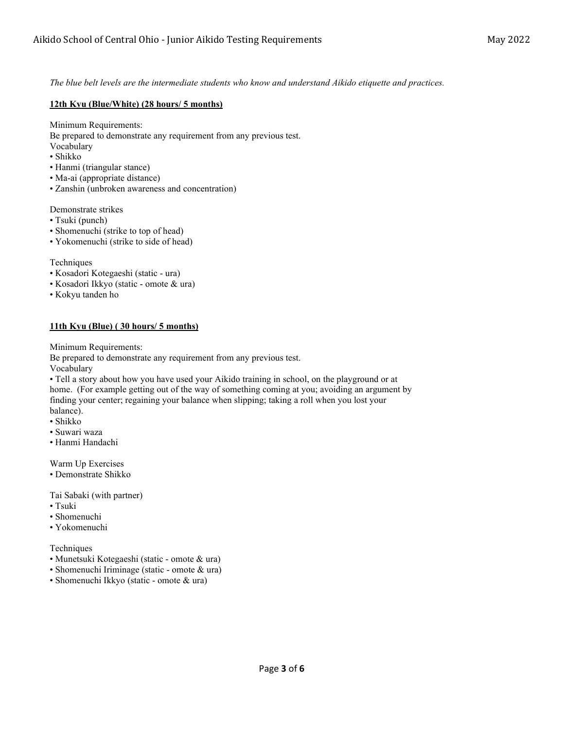*The blue belt levels are the intermediate students who know and understand Aikido etiquette and practices.* 

## **12th Kyu (Blue/White) (28 hours/ 5 months)**

Minimum Requirements:

Be prepared to demonstrate any requirement from any previous test.

- Vocabulary
- Shikko
- Hanmi (triangular stance)
- Ma-ai (appropriate distance)
- Zanshin (unbroken awareness and concentration)

Demonstrate strikes

- Tsuki (punch)
- Shomenuchi (strike to top of head)
- Yokomenuchi (strike to side of head)

Techniques

- Kosadori Kotegaeshi (static ura)
- Kosadori Ikkyo (static omote & ura)
- Kokyu tanden ho

# **11th Kyu (Blue) ( 30 hours/ 5 months)**

Minimum Requirements:

Be prepared to demonstrate any requirement from any previous test.

Vocabulary

• Tell a story about how you have used your Aikido training in school, on the playground or at home. (For example getting out of the way of something coming at you; avoiding an argument by finding your center; regaining your balance when slipping; taking a roll when you lost your balance).

- Shikko
- Suwari waza
- Hanmi Handachi

Warm Up Exercises

• Demonstrate Shikko

Tai Sabaki (with partner)

- Tsuki
- Shomenuchi
- Yokomenuchi

Techniques

- Munetsuki Kotegaeshi (static omote & ura)
- Shomenuchi Iriminage (static omote & ura)
- Shomenuchi Ikkyo (static omote & ura)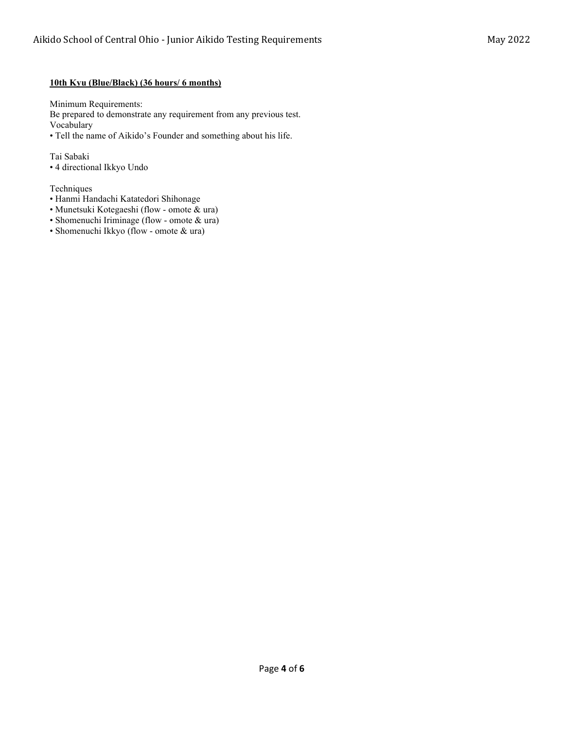## **10th Kyu (Blue/Black) (36 hours/ 6 months)**

Minimum Requirements:

Be prepared to demonstrate any requirement from any previous test. Vocabulary

• Tell the name of Aikido's Founder and something about his life.

Tai Sabaki • 4 directional Ikkyo Undo

#### Techniques

- Hanmi Handachi Katatedori Shihonage
- Munetsuki Kotegaeshi (flow omote & ura)
- Shomenuchi Iriminage (flow omote & ura)
- Shomenuchi Ikkyo (flow omote & ura)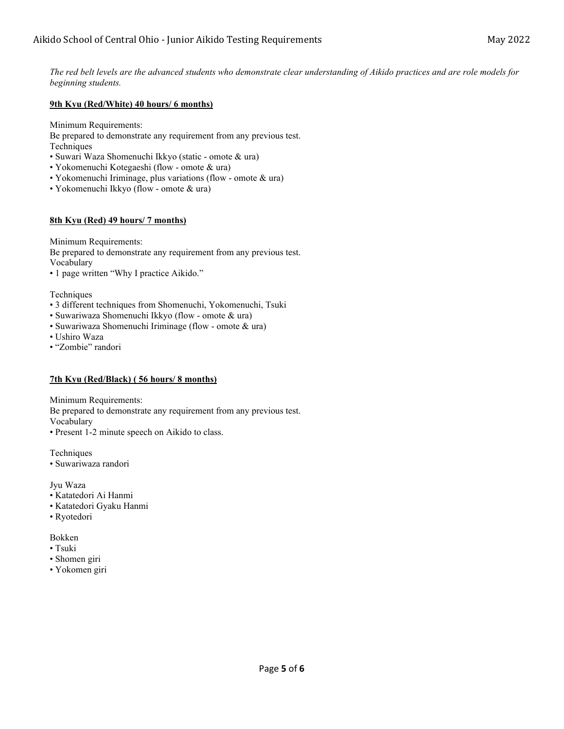# **9th Kyu (Red/White) 40 hours/ 6 months)**

Minimum Requirements:

Be prepared to demonstrate any requirement from any previous test. Techniques

- Suwari Waza Shomenuchi Ikkyo (static omote & ura)
- Yokomenuchi Kotegaeshi (flow omote & ura)
- Yokomenuchi Iriminage, plus variations (flow omote & ura)
- Yokomenuchi Ikkyo (flow omote & ura)

# **8th Kyu (Red) 49 hours/ 7 months)**

Minimum Requirements:

Be prepared to demonstrate any requirement from any previous test. Vocabulary

• 1 page written "Why I practice Aikido."

Techniques

- 3 different techniques from Shomenuchi, Yokomenuchi, Tsuki
- Suwariwaza Shomenuchi Ikkyo (flow omote & ura)
- Suwariwaza Shomenuchi Iriminage (flow omote & ura)
- Ushiro Waza
- "Zombie" randori

# **7th Kyu (Red/Black) ( 56 hours/ 8 months)**

Minimum Requirements:

Be prepared to demonstrate any requirement from any previous test.

Vocabulary

• Present 1-2 minute speech on Aikido to class.

Techniques

• Suwariwaza randori

Jyu Waza

- Katatedori Ai Hanmi
- Katatedori Gyaku Hanmi
- Ryotedori

Bokken

- Tsuki
- Shomen giri
- Yokomen giri